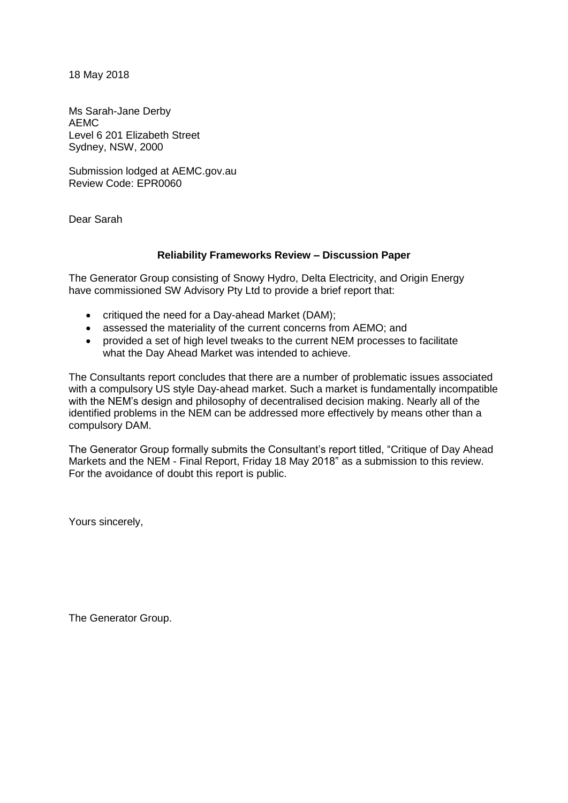18 May 2018

Ms Sarah-Jane Derby AEMC Level 6 201 Elizabeth Street Sydney, NSW, 2000

Submission lodged at AEMC.gov.au Review Code: EPR0060

Dear Sarah

#### **Reliability Frameworks Review – Discussion Paper**

The Generator Group consisting of Snowy Hydro, Delta Electricity, and Origin Energy have commissioned SW Advisory Pty Ltd to provide a brief report that:

- critiqued the need for a Day-ahead Market (DAM);
- assessed the materiality of the current concerns from AEMO; and
- provided a set of high level tweaks to the current NEM processes to facilitate what the Day Ahead Market was intended to achieve.

The Consultants report concludes that there are a number of problematic issues associated with a compulsory US style Day-ahead market. Such a market is fundamentally incompatible with the NEM's design and philosophy of decentralised decision making. Nearly all of the identified problems in the NEM can be addressed more effectively by means other than a compulsory DAM.

The Generator Group formally submits the Consultant's report titled, "Critique of Day Ahead Markets and the NEM - Final Report, Friday 18 May 2018" as a submission to this review. For the avoidance of doubt this report is public.

Yours sincerely,

The Generator Group.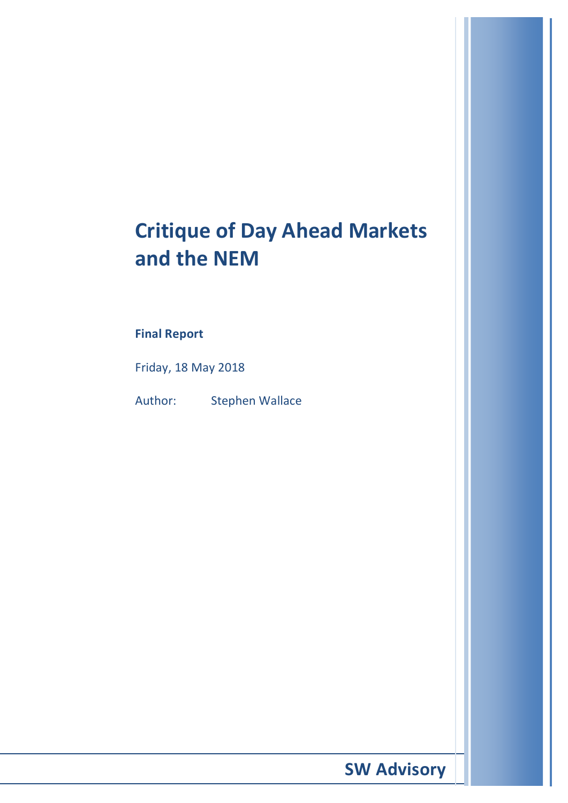# **Critique of Day Ahead Markets and the NEM**

## **Final Report**

Friday, 18 May 2018

Author: Stephen Wallace

 **SW Advisory**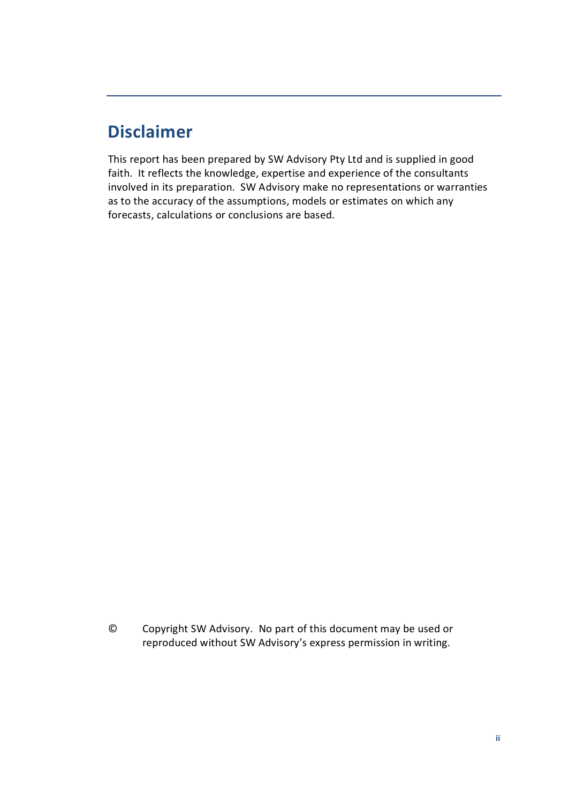## **Disclaimer**

This report has been prepared by SW Advisory Pty Ltd and is supplied in good faith. It reflects the knowledge, expertise and experience of the consultants involved in its preparation. SW Advisory make no representations or warranties as to the accuracy of the assumptions, models or estimates on which any forecasts, calculations or conclusions are based.

© Copyright SW Advisory. No part of this document may be used or reproduced without SW Advisory's express permission in writing.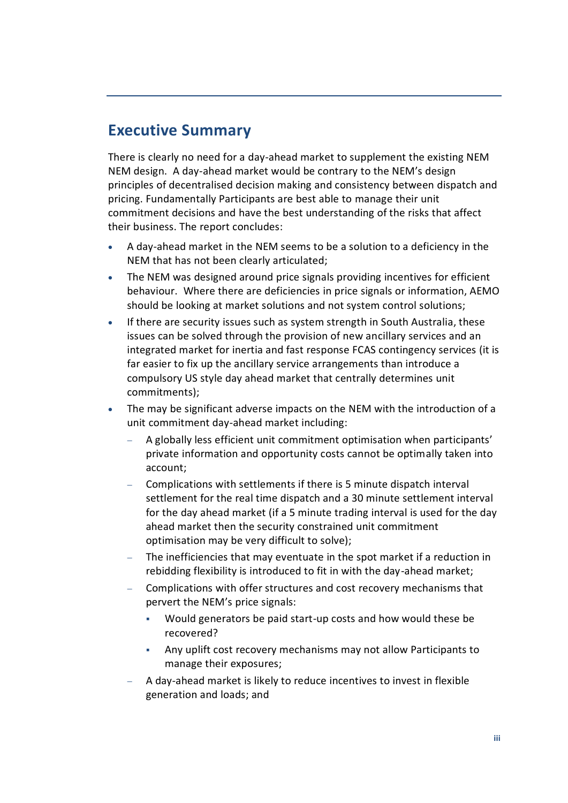## <span id="page-3-0"></span>**Executive Summary**

There is clearly no need for a day-ahead market to supplement the existing NEM NEM design. A day-ahead market would be contrary to the NEM's design principles of decentralised decision making and consistency between dispatch and pricing. Fundamentally Participants are best able to manage their unit commitment decisions and have the best understanding of the risks that affect their business. The report concludes:

- A day-ahead market in the NEM seems to be a solution to a deficiency in the NEM that has not been clearly articulated;
- The NEM was designed around price signals providing incentives for efficient behaviour. Where there are deficiencies in price signals or information, AEMO should be looking at market solutions and not system control solutions;
- If there are security issues such as system strength in South Australia, these issues can be solved through the provision of new ancillary services and an integrated market for inertia and fast response FCAS contingency services (it is far easier to fix up the ancillary service arrangements than introduce a compulsory US style day ahead market that centrally determines unit commitments);
- The may be significant adverse impacts on the NEM with the introduction of a unit commitment day-ahead market including:
	- − A globally less efficient unit commitment optimisation when participants' private information and opportunity costs cannot be optimally taken into account;
	- − Complications with settlements if there is 5 minute dispatch interval settlement for the real time dispatch and a 30 minute settlement interval for the day ahead market (if a 5 minute trading interval is used for the day ahead market then the security constrained unit commitment optimisation may be very difficult to solve);
	- The inefficiencies that may eventuate in the spot market if a reduction in rebidding flexibility is introduced to fit in with the day-ahead market;
	- − Complications with offer structures and cost recovery mechanisms that pervert the NEM's price signals:
		- Would generators be paid start-up costs and how would these be recovered?
		- Any uplift cost recovery mechanisms may not allow Participants to manage their exposures;
	- − A day-ahead market is likely to reduce incentives to invest in flexible generation and loads; and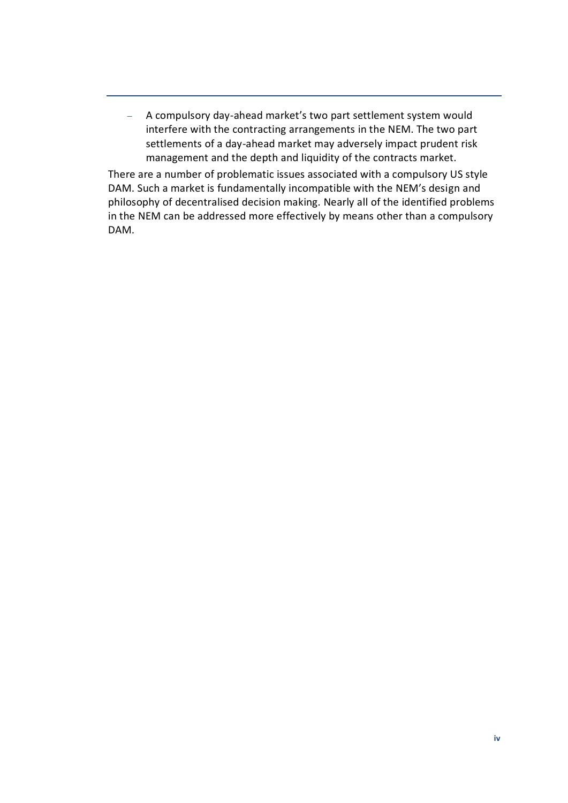− A compulsory day-ahead market's two part settlement system would interfere with the contracting arrangements in the NEM. The two part settlements of a day-ahead market may adversely impact prudent risk management and the depth and liquidity of the contracts market.

There are a number of problematic issues associated with a compulsory US style DAM. Such a market is fundamentally incompatible with the NEM's design and philosophy of decentralised decision making. Nearly all of the identified problems in the NEM can be addressed more effectively by means other than a compulsory DAM.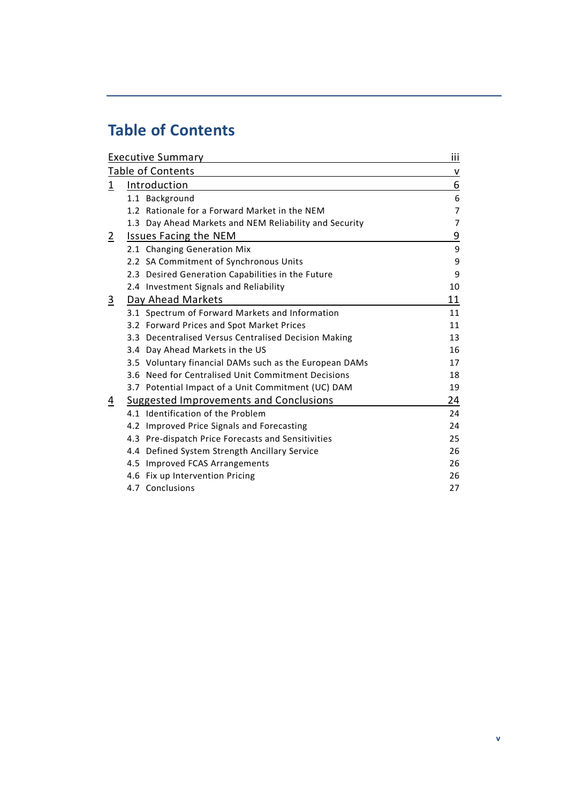## <span id="page-5-0"></span>**Table of Contents**

| <b>Executive Summary</b> | iii                                    |                                                        |                |  |  |
|--------------------------|----------------------------------------|--------------------------------------------------------|----------------|--|--|
| Table of Contents        |                                        |                                                        |                |  |  |
| 1                        | Introduction                           | 6                                                      |                |  |  |
|                          |                                        | 1.1 Background                                         | 6              |  |  |
|                          |                                        | 1.2 Rationale for a Forward Market in the NEM          | $\overline{7}$ |  |  |
|                          |                                        | 1.3 Day Ahead Markets and NEM Reliability and Security | $\overline{7}$ |  |  |
| $\overline{2}$           | <b>Issues Facing the NEM</b>           | <u>9</u>                                               |                |  |  |
|                          |                                        | 2.1 Changing Generation Mix                            | 9              |  |  |
|                          |                                        | 2.2 SA Commitment of Synchronous Units                 | 9              |  |  |
|                          |                                        | 2.3 Desired Generation Capabilities in the Future      | 9              |  |  |
|                          |                                        | 2.4 Investment Signals and Reliability                 | 10             |  |  |
| $\overline{3}$           | Day Ahead Markets                      | 11                                                     |                |  |  |
|                          |                                        | 3.1 Spectrum of Forward Markets and Information        | 11             |  |  |
|                          |                                        | 3.2 Forward Prices and Spot Market Prices              | 11             |  |  |
|                          |                                        | 3.3 Decentralised Versus Centralised Decision Making   | 13             |  |  |
|                          |                                        | 3.4 Day Ahead Markets in the US                        | 16             |  |  |
|                          |                                        | 3.5 Voluntary financial DAMs such as the European DAMs | 17             |  |  |
|                          |                                        | 3.6 Need for Centralised Unit Commitment Decisions     | 18             |  |  |
|                          |                                        | 3.7 Potential Impact of a Unit Commitment (UC) DAM     | 19             |  |  |
| $\overline{4}$           | Suggested Improvements and Conclusions | 24                                                     |                |  |  |
|                          |                                        | 4.1 Identification of the Problem                      | 24             |  |  |
|                          |                                        | 4.2 Improved Price Signals and Forecasting             | 24             |  |  |
|                          |                                        | 4.3 Pre-dispatch Price Forecasts and Sensitivities     | 25             |  |  |
|                          |                                        | 4.4 Defined System Strength Ancillary Service          | 26             |  |  |
|                          |                                        | 4.5 Improved FCAS Arrangements                         | 26             |  |  |
|                          |                                        | 4.6 Fix up Intervention Pricing                        | 26             |  |  |
|                          |                                        | 4.7 Conclusions                                        | 27             |  |  |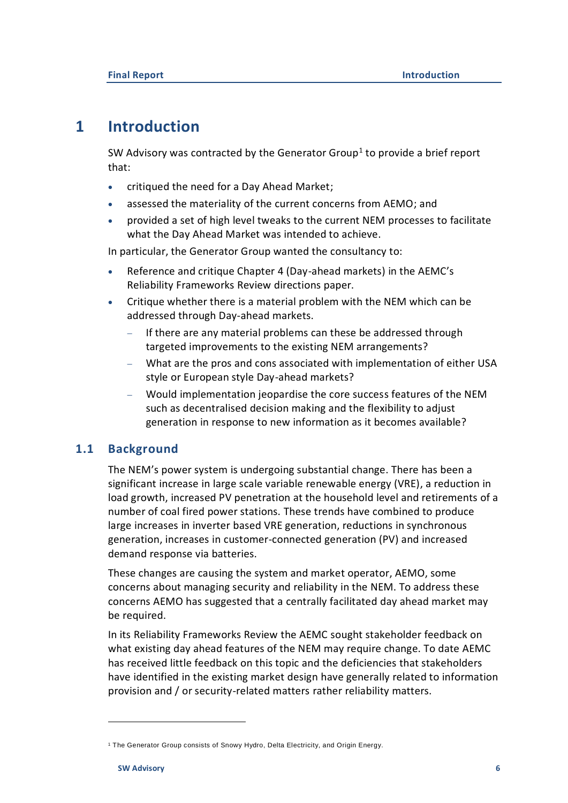## <span id="page-6-0"></span>**1 Introduction**

SW Advisory was contracted by the Generator Group<sup>1</sup> to provide a brief report that:

- critiqued the need for a Day Ahead Market;
- assessed the materiality of the current concerns from AEMO; and
- provided a set of high level tweaks to the current NEM processes to facilitate what the Day Ahead Market was intended to achieve.

In particular, the Generator Group wanted the consultancy to:

- Reference and critique Chapter 4 (Day-ahead markets) in the AEMC's Reliability Frameworks Review directions paper.
- Critique whether there is a material problem with the NEM which can be addressed through Day-ahead markets.
	- If there are any material problems can these be addressed through targeted improvements to the existing NEM arrangements?
	- − What are the pros and cons associated with implementation of either USA style or European style Day-ahead markets?
	- − Would implementation jeopardise the core success features of the NEM such as decentralised decision making and the flexibility to adjust generation in response to new information as it becomes available?

## <span id="page-6-1"></span>**1.1 Background**

The NEM's power system is undergoing substantial change. There has been a significant increase in large scale variable renewable energy (VRE), a reduction in load growth, increased PV penetration at the household level and retirements of a number of coal fired power stations. These trends have combined to produce large increases in inverter based VRE generation, reductions in synchronous generation, increases in customer-connected generation (PV) and increased demand response via batteries.

These changes are causing the system and market operator, AEMO, some concerns about managing security and reliability in the NEM. To address these concerns AEMO has suggested that a centrally facilitated day ahead market may be required.

In its Reliability Frameworks Review the AEMC sought stakeholder feedback on what existing day ahead features of the NEM may require change. To date AEMC has received little feedback on this topic and the deficiencies that stakeholders have identified in the existing market design have generally related to information provision and / or security-related matters rather reliability matters.

<sup>1</sup> The Generator Group consists of Snowy Hydro, Delta Electricity, and Origin Energy.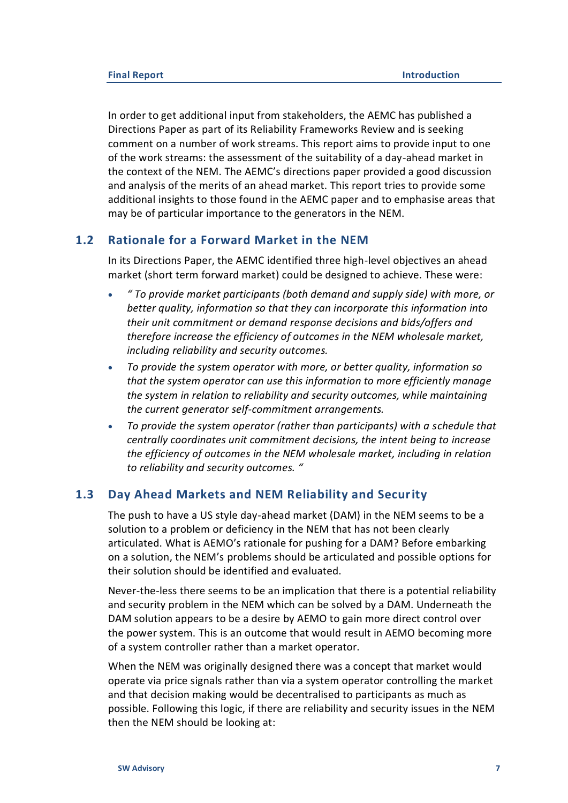In order to get additional input from stakeholders, the AEMC has published a Directions Paper as part of its Reliability Frameworks Review and is seeking comment on a number of work streams. This report aims to provide input to one of the work streams: the assessment of the suitability of a day-ahead market in the context of the NEM. The AEMC's directions paper provided a good discussion and analysis of the merits of an ahead market. This report tries to provide some additional insights to those found in the AEMC paper and to emphasise areas that may be of particular importance to the generators in the NEM.

### **1.2 Rationale for a Forward Market in the NEM**

<span id="page-7-0"></span>In its Directions Paper, the AEMC identified three high-level objectives an ahead market (short term forward market) could be designed to achieve. These were:

- *" To provide market participants (both demand and supply side) with more, or better quality, information so that they can incorporate this information into their unit commitment or demand response decisions and bids/offers and therefore increase the efficiency of outcomes in the NEM wholesale market, including reliability and security outcomes.*
- *To provide the system operator with more, or better quality, information so that the system operator can use this information to more efficiently manage the system in relation to reliability and security outcomes, while maintaining the current generator self-commitment arrangements.*
- *To provide the system operator (rather than participants) with a schedule that centrally coordinates unit commitment decisions, the intent being to increase the efficiency of outcomes in the NEM wholesale market, including in relation to reliability and security outcomes. "*

### <span id="page-7-1"></span>**1.3 Day Ahead Markets and NEM Reliability and Security**

The push to have a US style day-ahead market (DAM) in the NEM seems to be a solution to a problem or deficiency in the NEM that has not been clearly articulated. What is AEMO's rationale for pushing for a DAM? Before embarking on a solution, the NEM's problems should be articulated and possible options for their solution should be identified and evaluated.

Never-the-less there seems to be an implication that there is a potential reliability and security problem in the NEM which can be solved by a DAM. Underneath the DAM solution appears to be a desire by AEMO to gain more direct control over the power system. This is an outcome that would result in AEMO becoming more of a system controller rather than a market operator.

When the NEM was originally designed there was a concept that market would operate via price signals rather than via a system operator controlling the market and that decision making would be decentralised to participants as much as possible. Following this logic, if there are reliability and security issues in the NEM then the NEM should be looking at: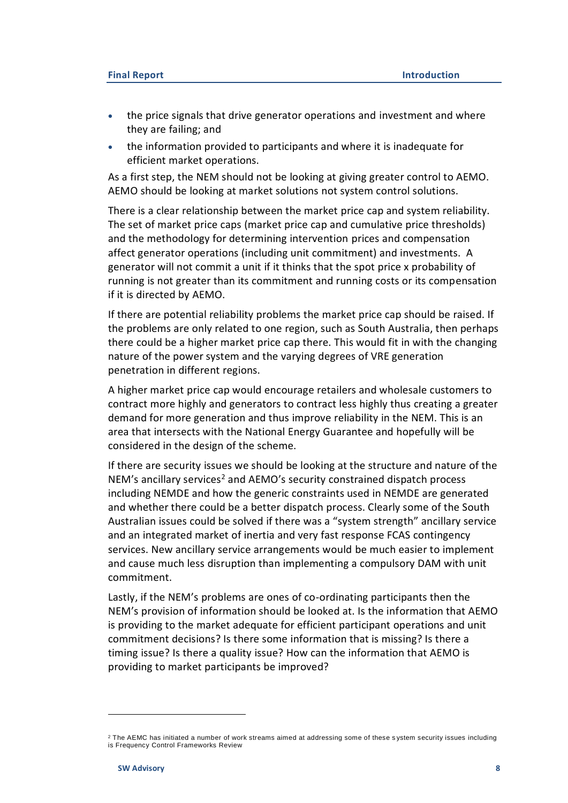- the price signals that drive generator operations and investment and where they are failing; and
- the information provided to participants and where it is inadequate for efficient market operations.

As a first step, the NEM should not be looking at giving greater control to AEMO. AEMO should be looking at market solutions not system control solutions.

There is a clear relationship between the market price cap and system reliability. The set of market price caps (market price cap and cumulative price thresholds) and the methodology for determining intervention prices and compensation affect generator operations (including unit commitment) and investments. A generator will not commit a unit if it thinks that the spot price x probability of running is not greater than its commitment and running costs or its compensation if it is directed by AEMO.

If there are potential reliability problems the market price cap should be raised. If the problems are only related to one region, such as South Australia, then perhaps there could be a higher market price cap there. This would fit in with the changing nature of the power system and the varying degrees of VRE generation penetration in different regions.

A higher market price cap would encourage retailers and wholesale customers to contract more highly and generators to contract less highly thus creating a greater demand for more generation and thus improve reliability in the NEM. This is an area that intersects with the National Energy Guarantee and hopefully will be considered in the design of the scheme.

If there are security issues we should be looking at the structure and nature of the NEM's ancillary services<sup>2</sup> and AEMO's security constrained dispatch process including NEMDE and how the generic constraints used in NEMDE are generated and whether there could be a better dispatch process. Clearly some of the South Australian issues could be solved if there was a "system strength" ancillary service and an integrated market of inertia and very fast response FCAS contingency services. New ancillary service arrangements would be much easier to implement and cause much less disruption than implementing a compulsory DAM with unit commitment.

Lastly, if the NEM's problems are ones of co-ordinating participants then the NEM's provision of information should be looked at. Is the information that AEMO is providing to the market adequate for efficient participant operations and unit commitment decisions? Is there some information that is missing? Is there a timing issue? Is there a quality issue? How can the information that AEMO is providing to market participants be improved?

<sup>&</sup>lt;sup>2</sup> The AEMC has initiated a number of work streams aimed at addressing some of these system security issues including is Frequency Control Frameworks Review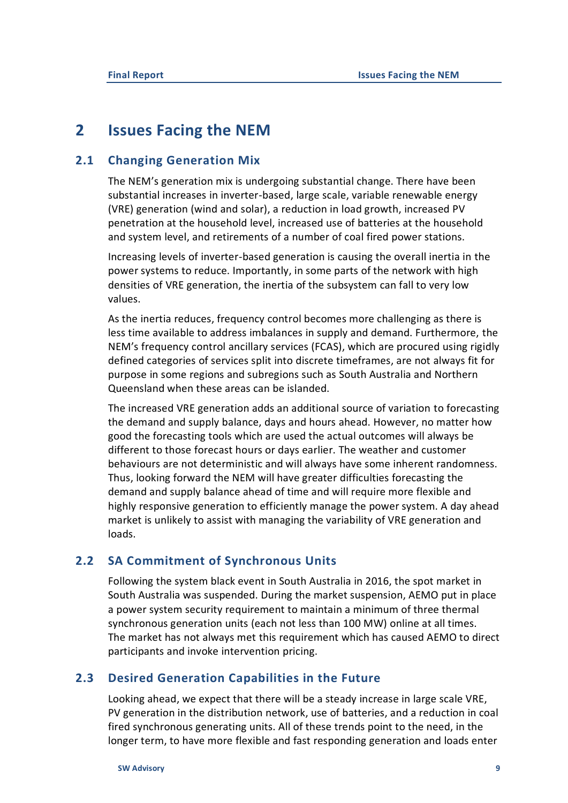## <span id="page-9-0"></span>**2 Issues Facing the NEM**

### **2.1 Changing Generation Mix**

<span id="page-9-1"></span>The NEM's generation mix is undergoing substantial change. There have been substantial increases in inverter-based, large scale, variable renewable energy (VRE) generation (wind and solar), a reduction in load growth, increased PV penetration at the household level, increased use of batteries at the household and system level, and retirements of a number of coal fired power stations.

Increasing levels of inverter-based generation is causing the overall inertia in the power systems to reduce. Importantly, in some parts of the network with high densities of VRE generation, the inertia of the subsystem can fall to very low values.

As the inertia reduces, frequency control becomes more challenging as there is less time available to address imbalances in supply and demand. Furthermore, the NEM's frequency control ancillary services (FCAS), which are procured using rigidly defined categories of services split into discrete timeframes, are not always fit for purpose in some regions and subregions such as South Australia and Northern Queensland when these areas can be islanded.

The increased VRE generation adds an additional source of variation to forecasting the demand and supply balance, days and hours ahead. However, no matter how good the forecasting tools which are used the actual outcomes will always be different to those forecast hours or days earlier. The weather and customer behaviours are not deterministic and will always have some inherent randomness. Thus, looking forward the NEM will have greater difficulties forecasting the demand and supply balance ahead of time and will require more flexible and highly responsive generation to efficiently manage the power system. A day ahead market is unlikely to assist with managing the variability of VRE generation and loads.

### **2.2 SA Commitment of Synchronous Units**

<span id="page-9-2"></span>Following the system black event in South Australia in 2016, the spot market in South Australia was suspended. During the market suspension, AEMO put in place a power system security requirement to maintain a minimum of three thermal synchronous generation units (each not less than 100 MW) online at all times. The market has not always met this requirement which has caused AEMO to direct participants and invoke intervention pricing.

### <span id="page-9-3"></span>**2.3 Desired Generation Capabilities in the Future**

Looking ahead, we expect that there will be a steady increase in large scale VRE, PV generation in the distribution network, use of batteries, and a reduction in coal fired synchronous generating units. All of these trends point to the need, in the longer term, to have more flexible and fast responding generation and loads enter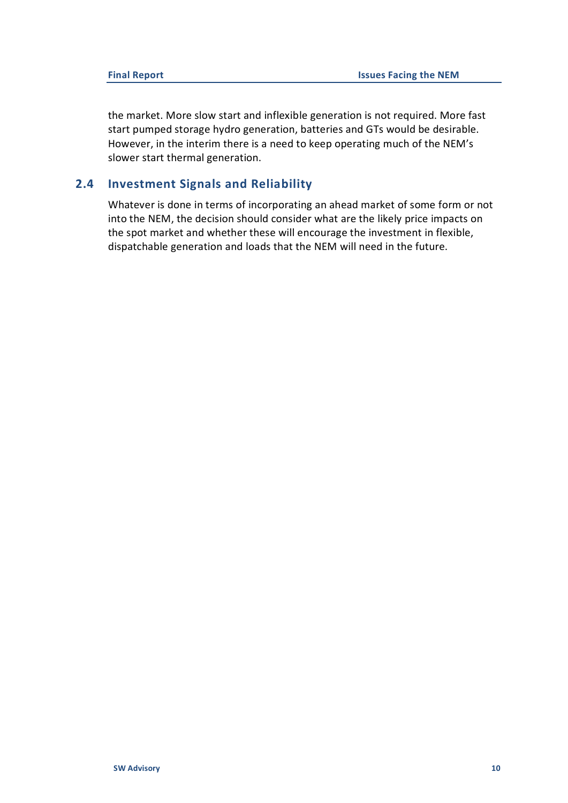the market. More slow start and inflexible generation is not required. More fast start pumped storage hydro generation, batteries and GTs would be desirable. However, in the interim there is a need to keep operating much of the NEM's slower start thermal generation.

## **2.4 Investment Signals and Reliability**

<span id="page-10-0"></span>Whatever is done in terms of incorporating an ahead market of some form or not into the NEM, the decision should consider what are the likely price impacts on the spot market and whether these will encourage the investment in flexible, dispatchable generation and loads that the NEM will need in the future.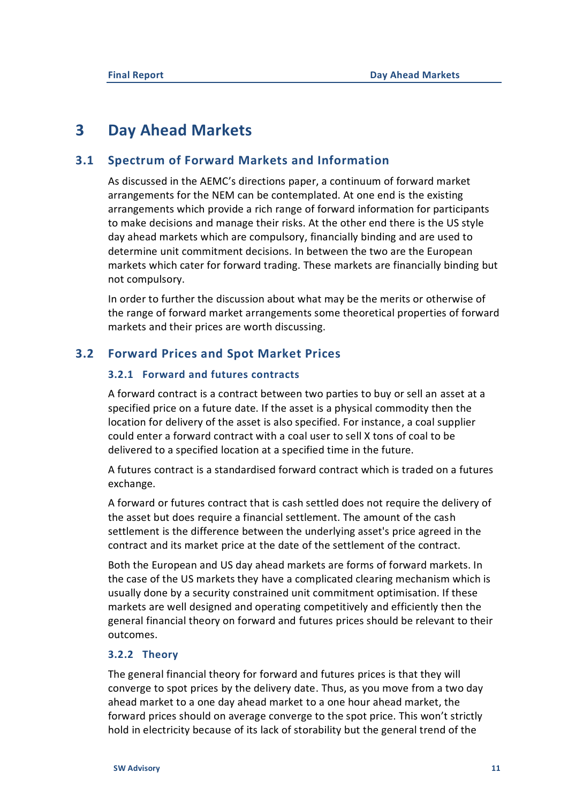## <span id="page-11-0"></span>**3 Day Ahead Markets**

## **3.1 Spectrum of Forward Markets and Information**

<span id="page-11-1"></span>As discussed in the AEMC's directions paper, a continuum of forward market arrangements for the NEM can be contemplated. At one end is the existing arrangements which provide a rich range of forward information for participants to make decisions and manage their risks. At the other end there is the US style day ahead markets which are compulsory, financially binding and are used to determine unit commitment decisions. In between the two are the European markets which cater for forward trading. These markets are financially binding but not compulsory.

In order to further the discussion about what may be the merits or otherwise of the range of forward market arrangements some theoretical properties of forward markets and their prices are worth discussing.

## **3.2 Forward Prices and Spot Market Prices**

## <span id="page-11-2"></span>**3.2.1 Forward and futures contracts**

A forward contract is a contract between two parties to buy or sell an asset at a specified price on a future date. If the asset is a physical commodity then the location for delivery of the asset is also specified. For instance, a coal supplier could enter a forward contract with a coal user to sell X tons of coal to be delivered to a specified location at a specified time in the future.

A futures contract is a standardised forward contract which is traded on a futures exchange.

A [forward](https://uk.practicallaw.thomsonreuters.com/3-209-4991?originationContext=document&transitionType=DocumentItem&contextData=(sc.Default)) or [futures](https://uk.practicallaw.thomsonreuters.com/9-107-6631?originationContext=document&transitionType=DocumentItem&contextData=(sc.Default)) contract that is [cash settled](https://uk.practicallaw.thomsonreuters.com/5-209-4990?originationContext=document&transitionType=DocumentItem&contextData=(sc.Default)) does not require the delivery of the asset but does require a financial settlement. The amount of the cash settlement is the difference between the underlying asset's price agreed in the contract and its market price at the date of the settlement of the contract.

Both the European and US day ahead markets are forms of forward markets. In the case of the US markets they have a complicated clearing mechanism which is usually done by a security constrained unit commitment optimisation. If these markets are well designed and operating competitively and efficiently then the general financial theory on forward and futures prices should be relevant to their outcomes.

## **3.2.2 Theory**

The general financial theory for forward and futures prices is that they will converge to spot prices by the delivery date. Thus, as you move from a two day ahead market to a one day ahead market to a one hour ahead market, the forward prices should on average converge to the spot price. This won't strictly hold in electricity because of its lack of storability but the general trend of the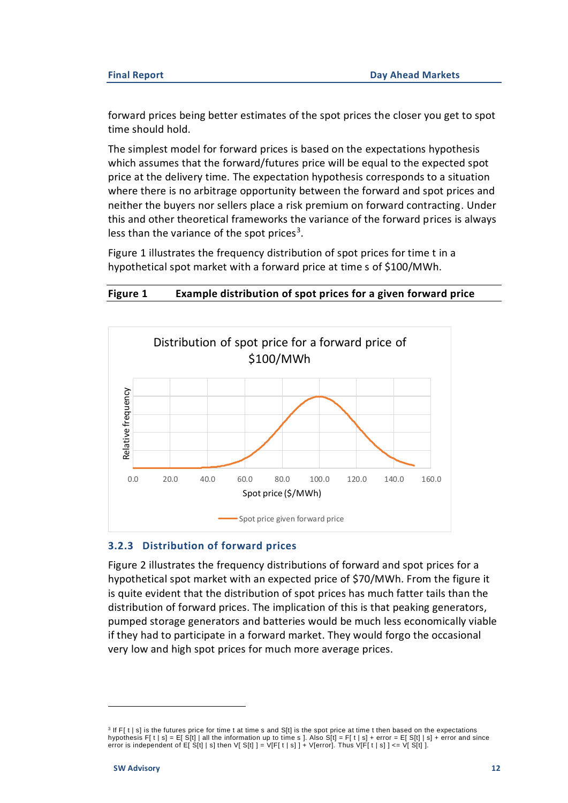forward prices being better estimates of the spot prices the closer you get to spot time should hold.

The simplest model for forward prices is based on the expectations hypothesis which assumes that the forward/futures price will be equal to the expected spot price at the delivery time. The expectation hypothesis corresponds to a situation where there is no arbitrage opportunity between the forward and spot prices and neither the buyers nor sellers place a risk premium on forward contracting. Under this and other theoretical frameworks the variance of the forward prices is always less than the variance of the spot prices<sup>3</sup>.

[Figure 1](#page-12-0) illustrates the frequency distribution of spot prices for time t in a hypothetical spot market with a forward price at time s of \$100/MWh.

#### <span id="page-12-0"></span>**Figure 1 Example distribution of spot prices for a given forward price**



#### **3.2.3 Distribution of forward prices**

[Figure 2](#page-13-1) illustrates the frequency distributions of forward and spot prices for a hypothetical spot market with an expected price of \$70/MWh. From the figure it is quite evident that the distribution of spot prices has much fatter tails than the distribution of forward prices. The implication of this is that peaking generators, pumped storage generators and batteries would be much less economically viable if they had to participate in a forward market. They would forgo the occasional very low and high spot prices for much more average prices.

<sup>3</sup> If F[ t | s] is the futures price for time t at time s and S[t] is the spot price at time t then based on the expectations hypothesis F[ t | s] = E[ S[t] | all the information up to time s ]. Also S[t] = F[ t | s] + error = E[ S[t] | s] + error and since error is independent of E[  $S[t]$  | s] then V[  $S[t]$  ] = V[F[ t | s] ] + V[error]. Thus V[F[ t | s] ] <= V[ $S[t]$  ].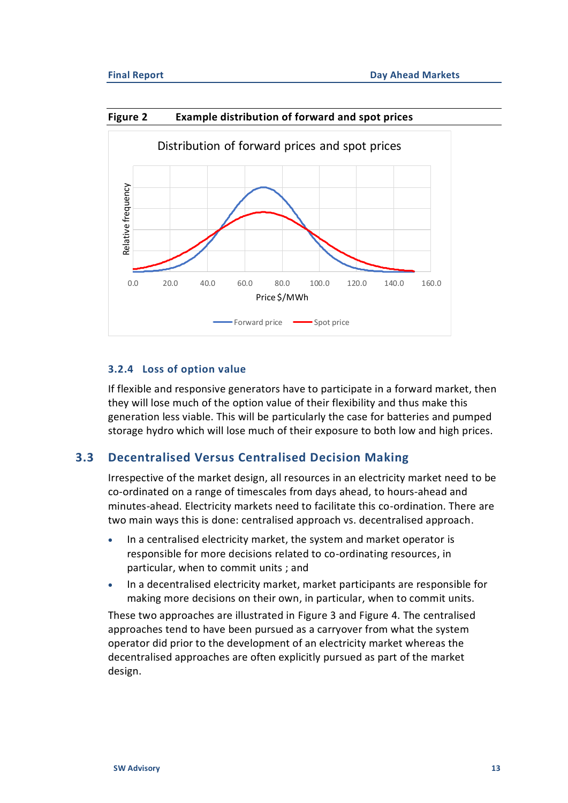

<span id="page-13-1"></span>

#### **3.2.4 Loss of option value**

If flexible and responsive generators have to participate in a forward market, then they will lose much of the option value of their flexibility and thus make this generation less viable. This will be particularly the case for batteries and pumped storage hydro which will lose much of their exposure to both low and high prices.

## **3.3 Decentralised Versus Centralised Decision Making**

<span id="page-13-0"></span>Irrespective of the market design, all resources in an electricity market need to be co-ordinated on a range of timescales from days ahead, to hours-ahead and minutes-ahead. Electricity markets need to facilitate this co-ordination. There are two main ways this is done: centralised approach vs. decentralised approach.

- In a centralised electricity market, the system and market operator is responsible for more decisions related to co-ordinating resources, in particular, when to commit units ; and
- In a decentralised electricity market, market participants are responsible for making more decisions on their own, in particular, when to commit units.

These two approaches are illustrated in [Figure 3](#page-14-0) and [Figure 4.](#page-15-0) The centralised approaches tend to have been pursued as a carryover from what the system operator did prior to the development of an electricity market whereas the decentralised approaches are often explicitly pursued as part of the market design.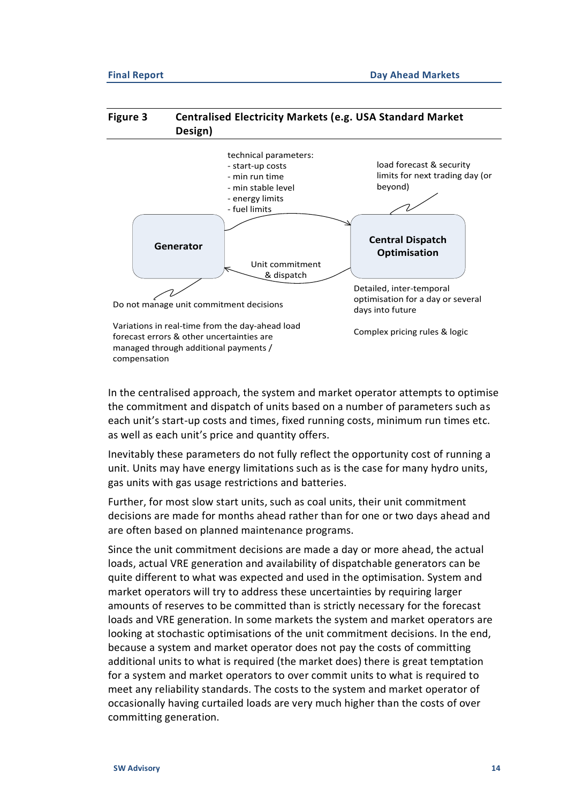#### <span id="page-14-0"></span>**Figure 3 Centralised Electricity Markets (e.g. USA Standard Market Design)**



In the centralised approach, the system and market operator attempts to optimise the commitment and dispatch of units based on a number of parameters such as each unit's start-up costs and times, fixed running costs, minimum run times etc. as well as each unit's price and quantity offers.

Inevitably these parameters do not fully reflect the opportunity cost of running a unit. Units may have energy limitations such as is the case for many hydro units, gas units with gas usage restrictions and batteries.

Further, for most slow start units, such as coal units, their unit commitment decisions are made for months ahead rather than for one or two days ahead and are often based on planned maintenance programs.

Since the unit commitment decisions are made a day or more ahead, the actual loads, actual VRE generation and availability of dispatchable generators can be quite different to what was expected and used in the optimisation. System and market operators will try to address these uncertainties by requiring larger amounts of reserves to be committed than is strictly necessary for the forecast loads and VRE generation. In some markets the system and market operators are looking at stochastic optimisations of the unit commitment decisions. In the end, because a system and market operator does not pay the costs of committing additional units to what is required (the market does) there is great temptation for a system and market operators to over commit units to what is required to meet any reliability standards. The costs to the system and market operator of occasionally having curtailed loads are very much higher than the costs of over committing generation.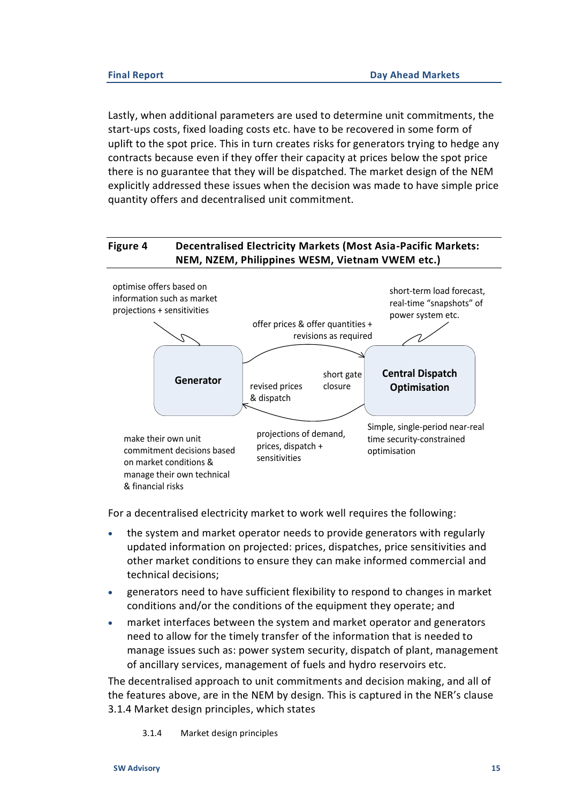Lastly, when additional parameters are used to determine unit commitments, the start-ups costs, fixed loading costs etc. have to be recovered in some form of uplift to the spot price. This in turn creates risks for generators trying to hedge any contracts because even if they offer their capacity at prices below the spot price there is no guarantee that they will be dispatched. The market design of the NEM explicitly addressed these issues when the decision was made to have simple price quantity offers and decentralised unit commitment.

### <span id="page-15-0"></span>**Figure 4 Decentralised Electricity Markets (Most Asia-Pacific Markets: NEM, NZEM, Philippines WESM, Vietnam VWEM etc.)**



For a decentralised electricity market to work well requires the following:

- the system and market operator needs to provide generators with regularly updated information on projected: prices, dispatches, price sensitivities and other market conditions to ensure they can make informed commercial and technical decisions;
- generators need to have sufficient flexibility to respond to changes in market conditions and/or the conditions of the equipment they operate; and
- market interfaces between the system and market operator and generators need to allow for the timely transfer of the information that is needed to manage issues such as: power system security, dispatch of plant, management of ancillary services, management of fuels and hydro reservoirs etc.

The decentralised approach to unit commitments and decision making, and all of the features above, are in the NEM by design. This is captured in the NER's clause 3.1.4 Market design principles, which states

3.1.4 Market design principles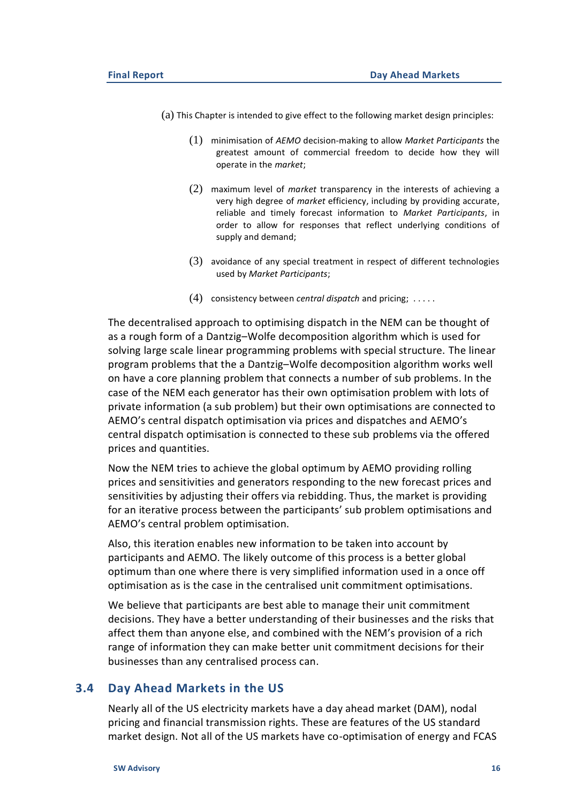- (a) This Chapter is intended to give effect to the following market design principles:
	- (1) minimisation of *AEMO* decision-making to allow *Market Participants* the greatest amount of commercial freedom to decide how they will operate in the *market*;
	- (2) maximum level of *market* transparency in the interests of achieving a very high degree of *market* efficiency, including by providing accurate, reliable and timely forecast information to *Market Participants*, in order to allow for responses that reflect underlying conditions of supply and demand;
	- (3) avoidance of any special treatment in respect of different technologies used by *Market Participants*;
	- (4) consistency between *central dispatch* and pricing; . . . . .

The decentralised approach to optimising dispatch in the NEM can be thought of as a rough form of a Dantzig–Wolfe decomposition algorithm which is used for solving large scale linear programming problems with special structure. The linear program problems that the a Dantzig–Wolfe decomposition algorithm works well on have a core planning problem that connects a number of sub problems. In the case of the NEM each generator has their own optimisation problem with lots of private information (a sub problem) but their own optimisations are connected to AEMO's central dispatch optimisation via prices and dispatches and AEMO's central dispatch optimisation is connected to these sub problems via the offered prices and quantities.

Now the NEM tries to achieve the global optimum by AEMO providing rolling prices and sensitivities and generators responding to the new forecast prices and sensitivities by adjusting their offers via rebidding. Thus, the market is providing for an iterative process between the participants' sub problem optimisations and AEMO's central problem optimisation.

Also, this iteration enables new information to be taken into account by participants and AEMO. The likely outcome of this process is a better global optimum than one where there is very simplified information used in a once off optimisation as is the case in the centralised unit commitment optimisations.

We believe that participants are best able to manage their unit commitment decisions. They have a better understanding of their businesses and the risks that affect them than anyone else, and combined with the NEM's provision of a rich range of information they can make better unit commitment decisions for their businesses than any centralised process can.

#### **3.4 Day Ahead Markets in the US**

<span id="page-16-0"></span>Nearly all of the US electricity markets have a day ahead market (DAM), nodal pricing and financial transmission rights. These are features of the US standard market design. Not all of the US markets have co-optimisation of energy and FCAS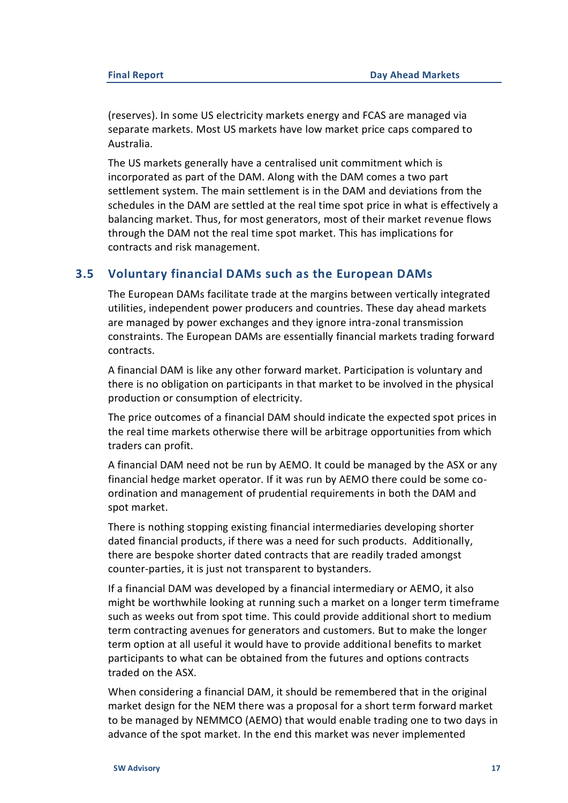(reserves). In some US electricity markets energy and FCAS are managed via separate markets. Most US markets have low market price caps compared to Australia.

The US markets generally have a centralised unit commitment which is incorporated as part of the DAM. Along with the DAM comes a two part settlement system. The main settlement is in the DAM and deviations from the schedules in the DAM are settled at the real time spot price in what is effectively a balancing market. Thus, for most generators, most of their market revenue flows through the DAM not the real time spot market. This has implications for contracts and risk management.

## **3.5 Voluntary financial DAMs such as the European DAMs**

<span id="page-17-0"></span>The European DAMs facilitate trade at the margins between vertically integrated utilities, independent power producers and countries. These day ahead markets are managed by power exchanges and they ignore intra-zonal transmission constraints. The European DAMs are essentially financial markets trading forward contracts.

A financial DAM is like any other forward market. Participation is voluntary and there is no obligation on participants in that market to be involved in the physical production or consumption of electricity.

The price outcomes of a financial DAM should indicate the expected spot prices in the real time markets otherwise there will be arbitrage opportunities from which traders can profit.

A financial DAM need not be run by AEMO. It could be managed by the ASX or any financial hedge market operator. If it was run by AEMO there could be some coordination and management of prudential requirements in both the DAM and spot market.

There is nothing stopping existing financial intermediaries developing shorter dated financial products, if there was a need for such products. Additionally, there are bespoke shorter dated contracts that are readily traded amongst counter-parties, it is just not transparent to bystanders.

If a financial DAM was developed by a financial intermediary or AEMO, it also might be worthwhile looking at running such a market on a longer term timeframe such as weeks out from spot time. This could provide additional short to medium term contracting avenues for generators and customers. But to make the longer term option at all useful it would have to provide additional benefits to market participants to what can be obtained from the futures and options contracts traded on the ASX.

When considering a financial DAM, it should be remembered that in the original market design for the NEM there was a proposal for a short term forward market to be managed by NEMMCO (AEMO) that would enable trading one to two days in advance of the spot market. In the end this market was never implemented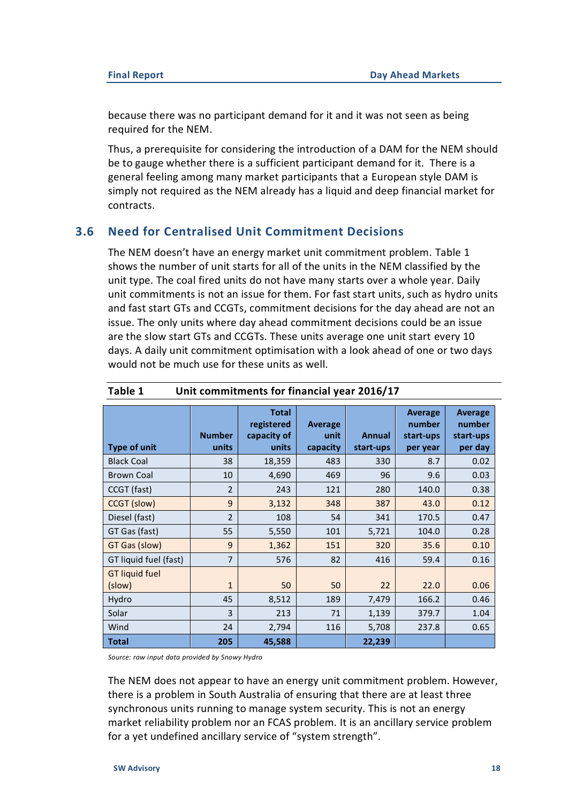because there was no participant demand for it and it was not seen as being required for the NEM.

Thus, a prerequisite for considering the introduction of a DAM for the NEM should be to gauge whether there is a sufficient participant demand for it. There is a general feeling among many market participants that a European style DAM is simply not required as the NEM already has a liquid and deep financial market for contracts.

## **3.6 Need for Centralised Unit Commitment Decisions**

<span id="page-18-0"></span>The NEM doesn't have an energy market unit commitment problem. [Table 1](#page-18-1) shows the number of unit starts for all of the units in the NEM classified by the unit type. The coal fired units do not have many starts over a whole year. Daily unit commitments is not an issue for them. For fast start units, such as hydro units and fast start GTs and CCGTs, commitment decisions for the day ahead are not an issue. The only units where day ahead commitment decisions could be an issue are the slow start GTs and CCGTs. These units average one unit start every 10 days. A daily unit commitment optimisation with a look ahead of one or two days would not be much use for these units as well.

| <b>Type of unit</b>             | <b>Number</b><br>units | <b>Total</b><br>registered<br>capacity of<br>units | Average<br>unit<br>capacity | <b>Annual</b><br>start-ups | <b>Average</b><br>number<br>start-ups<br>per year | <b>Average</b><br>number<br>start-ups<br>per day |
|---------------------------------|------------------------|----------------------------------------------------|-----------------------------|----------------------------|---------------------------------------------------|--------------------------------------------------|
| <b>Black Coal</b>               | 38                     | 18,359                                             | 483                         | 330                        | 8.7                                               | 0.02                                             |
| <b>Brown Coal</b>               | 10                     | 4,690                                              | 469                         | 96                         | 9.6                                               | 0.03                                             |
| CCGT (fast)                     | $\overline{2}$         | 243                                                | 121                         | 280                        | 140.0                                             | 0.38                                             |
| CCGT (slow)                     | 9                      | 3,132                                              | 348                         | 387                        | 43.0                                              | 0.12                                             |
| Diesel (fast)                   | $\overline{2}$         | 108                                                | 54                          | 341                        | 170.5                                             | 0.47                                             |
| GT Gas (fast)                   | 55                     | 5,550                                              | 101                         | 5,721                      | 104.0                                             | 0.28                                             |
| GT Gas (slow)                   | 9                      | 1,362                                              | 151                         | 320                        | 35.6                                              | 0.10                                             |
| GT liquid fuel (fast)           | 7                      | 576                                                | 82                          | 416                        | 59.4                                              | 0.16                                             |
| <b>GT liquid fuel</b><br>(slow) | $\mathbf{1}$           | 50                                                 | 50                          | 22                         | 22.0                                              | 0.06                                             |
| Hydro                           | 45                     | 8,512                                              | 189                         | 7,479                      | 166.2                                             | 0.46                                             |
| Solar                           | 3                      | 213                                                | 71                          | 1,139                      | 379.7                                             | 1.04                                             |
| Wind                            | 24                     | 2,794                                              | 116                         | 5,708                      | 237.8                                             | 0.65                                             |
| <b>Total</b>                    | 205                    | 45,588                                             |                             | 22,239                     |                                                   |                                                  |

#### <span id="page-18-1"></span>**Table 1 Unit commitments for financial year 2016/17**

*Source: raw input data provided by Snowy Hydro* 

The NEM does not appear to have an energy unit commitment problem. However, there is a problem in South Australia of ensuring that there are at least three synchronous units running to manage system security. This is not an energy market reliability problem nor an FCAS problem. It is an ancillary service problem for a yet undefined ancillary service of "system strength".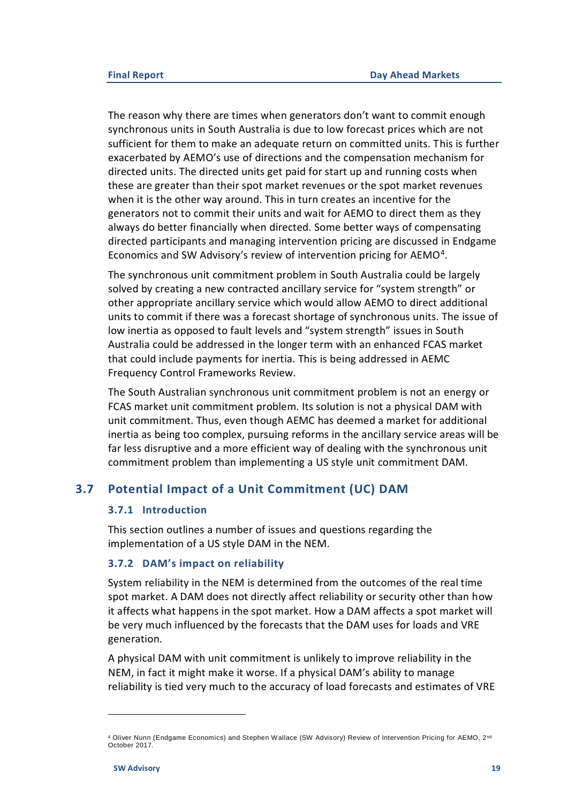The reason why there are times when generators don't want to commit enough synchronous units in South Australia is due to low forecast prices which are not sufficient for them to make an adequate return on committed units. This is further exacerbated by AEMO's use of directions and the compensation mechanism for directed units. The directed units get paid for start up and running costs when these are greater than their spot market revenues or the spot market revenues when it is the other way around. This in turn creates an incentive for the generators not to commit their units and wait for AEMO to direct them as they always do better financially when directed. Some better ways of compensating directed participants and managing intervention pricing are discussed in Endgame Economics and SW Advisory's review of intervention pricing for AEMO<sup>4</sup>.

The synchronous unit commitment problem in South Australia could be largely solved by creating a new contracted ancillary service for "system strength" or other appropriate ancillary service which would allow AEMO to direct additional units to commit if there was a forecast shortage of synchronous units. The issue of low inertia as opposed to fault levels and "system strength" issues in South Australia could be addressed in the longer term with an enhanced FCAS market that could include payments for inertia. This is being addressed in AEMC Frequency Control Frameworks Review.

The South Australian synchronous unit commitment problem is not an energy or FCAS market unit commitment problem. Its solution is not a physical DAM with unit commitment. Thus, even though AEMC has deemed a market for additional inertia as being too complex, pursuing reforms in the ancillary service areas will be far less disruptive and a more efficient way of dealing with the synchronous unit commitment problem than implementing a US style unit commitment DAM.

## **3.7 Potential Impact of a Unit Commitment (UC) DAM**

#### <span id="page-19-0"></span>**3.7.1 Introduction**

This section outlines a number of issues and questions regarding the implementation of a US style DAM in the NEM.

#### **3.7.2 DAM's impact on reliability**

System reliability in the NEM is determined from the outcomes of the real time spot market. A DAM does not directly affect reliability or security other than how it affects what happens in the spot market. How a DAM affects a spot market will be very much influenced by the forecasts that the DAM uses for loads and VRE generation.

A physical DAM with unit commitment is unlikely to improve reliability in the NEM, in fact it might make it worse. If a physical DAM's ability to manage reliability is tied very much to the accuracy of load forecasts and estimates of VRE

<sup>4</sup> Oliver Nunn (Endgame Economics) and Stephen Wallace (SW Advisory) Review of Intervention Pricing for AEMO, 2<sup>nd</sup> October 2017.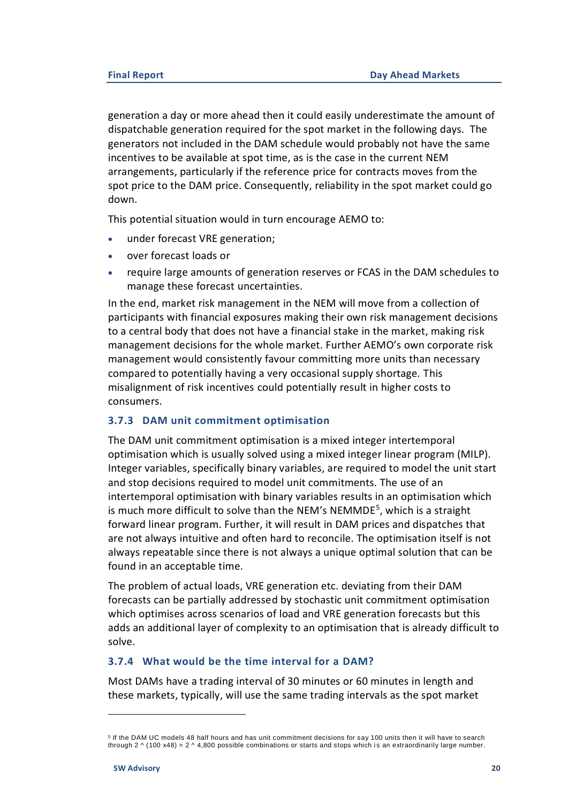generation a day or more ahead then it could easily underestimate the amount of dispatchable generation required for the spot market in the following days. The generators not included in the DAM schedule would probably not have the same incentives to be available at spot time, as is the case in the current NEM arrangements, particularly if the reference price for contracts moves from the spot price to the DAM price. Consequently, reliability in the spot market could go down.

This potential situation would in turn encourage AEMO to:

- under forecast VRE generation;
- over forecast loads or
- require large amounts of generation reserves or FCAS in the DAM schedules to manage these forecast uncertainties.

In the end, market risk management in the NEM will move from a collection of participants with financial exposures making their own risk management decisions to a central body that does not have a financial stake in the market, making risk management decisions for the whole market. Further AEMO's own corporate risk management would consistently favour committing more units than necessary compared to potentially having a very occasional supply shortage. This misalignment of risk incentives could potentially result in higher costs to consumers.

#### **3.7.3 DAM unit commitment optimisation**

The DAM unit commitment optimisation is a mixed integer intertemporal optimisation which is usually solved using a mixed integer linear program (MILP). Integer variables, specifically binary variables, are required to model the unit start and stop decisions required to model unit commitments. The use of an intertemporal optimisation with binary variables results in an optimisation which is much more difficult to solve than the NEM's NEMMDE<sup>5</sup>, which is a straight forward linear program. Further, it will result in DAM prices and dispatches that are not always intuitive and often hard to reconcile. The optimisation itself is not always repeatable since there is not always a unique optimal solution that can be found in an acceptable time.

The problem of actual loads, VRE generation etc. deviating from their DAM forecasts can be partially addressed by stochastic unit commitment optimisation which optimises across scenarios of load and VRE generation forecasts but this adds an additional layer of complexity to an optimisation that is already difficult to solve.

## **3.7.4 What would be the time interval for a DAM?**

Most DAMs have a trading interval of 30 minutes or 60 minutes in length and these markets, typically, will use the same trading intervals as the spot market

<sup>5</sup> If the DAM UC models 48 half hours and has unit commitment decisions for say 100 units then it will have to search through  $2 \wedge (100 \times 48) = 2 \wedge 4,800$  possible combinations or starts and stops which is an extraordinarily large number.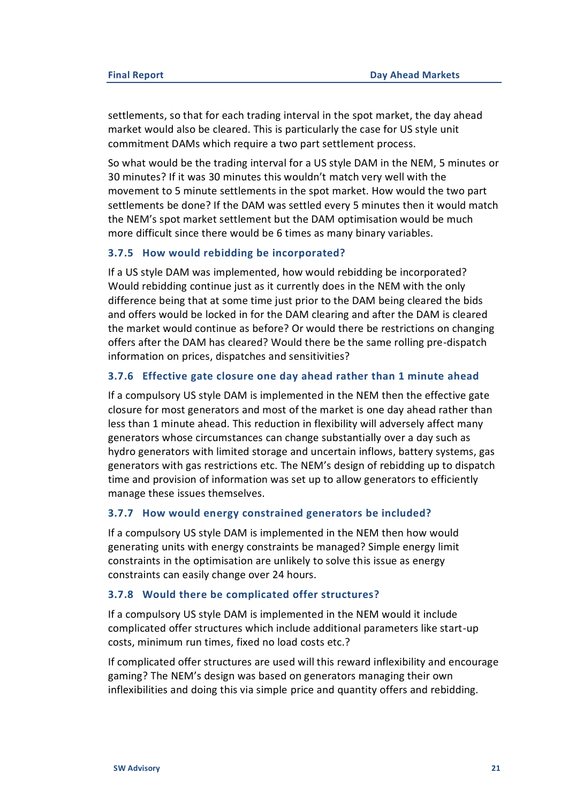settlements, so that for each trading interval in the spot market, the day ahead market would also be cleared. This is particularly the case for US style unit commitment DAMs which require a two part settlement process.

So what would be the trading interval for a US style DAM in the NEM, 5 minutes or 30 minutes? If it was 30 minutes this wouldn't match very well with the movement to 5 minute settlements in the spot market. How would the two part settlements be done? If the DAM was settled every 5 minutes then it would match the NEM's spot market settlement but the DAM optimisation would be much more difficult since there would be 6 times as many binary variables.

#### **3.7.5 How would rebidding be incorporated?**

If a US style DAM was implemented, how would rebidding be incorporated? Would rebidding continue just as it currently does in the NEM with the only difference being that at some time just prior to the DAM being cleared the bids and offers would be locked in for the DAM clearing and after the DAM is cleared the market would continue as before? Or would there be restrictions on changing offers after the DAM has cleared? Would there be the same rolling pre-dispatch information on prices, dispatches and sensitivities?

#### **3.7.6 Effective gate closure one day ahead rather than 1 minute ahead**

If a compulsory US style DAM is implemented in the NEM then the effective gate closure for most generators and most of the market is one day ahead rather than less than 1 minute ahead. This reduction in flexibility will adversely affect many generators whose circumstances can change substantially over a day such as hydro generators with limited storage and uncertain inflows, battery systems, gas generators with gas restrictions etc. The NEM's design of rebidding up to dispatch time and provision of information was set up to allow generators to efficiently manage these issues themselves.

#### **3.7.7 How would energy constrained generators be included?**

If a compulsory US style DAM is implemented in the NEM then how would generating units with energy constraints be managed? Simple energy limit constraints in the optimisation are unlikely to solve this issue as energy constraints can easily change over 24 hours.

#### **3.7.8 Would there be complicated offer structures?**

If a compulsory US style DAM is implemented in the NEM would it include complicated offer structures which include additional parameters like start-up costs, minimum run times, fixed no load costs etc.?

If complicated offer structures are used will this reward inflexibility and encourage gaming? The NEM's design was based on generators managing their own inflexibilities and doing this via simple price and quantity offers and rebidding.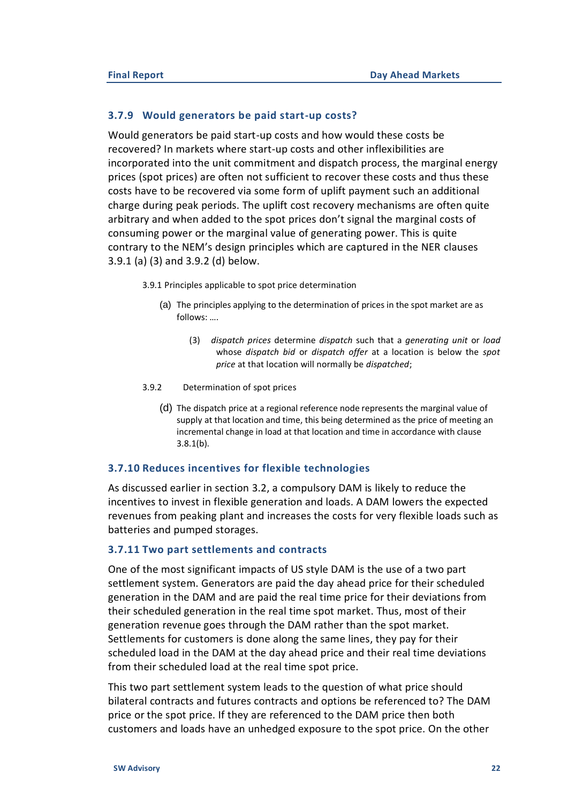#### **3.7.9 Would generators be paid start-up costs?**

Would generators be paid start-up costs and how would these costs be recovered? In markets where start-up costs and other inflexibilities are incorporated into the unit commitment and dispatch process, the marginal energy prices (spot prices) are often not sufficient to recover these costs and thus these costs have to be recovered via some form of uplift payment such an additional charge during peak periods. The uplift cost recovery mechanisms are often quite arbitrary and when added to the spot prices don't signal the marginal costs of consuming power or the marginal value of generating power. This is quite contrary to the NEM's design principles which are captured in the NER clauses 3.9.1 (a) (3) and 3.9.2 (d) below.

3.9.1 Principles applicable to spot price determination

- (a) The principles applying to the determination of prices in the spot market are as follows: ….
	- (3) *dispatch prices* determine *dispatch* such that a *generating unit* or *load* whose *dispatch bid* or *dispatch offer* at a location is below the *spot price* at that location will normally be *dispatched*;
- 3.9.2 Determination of spot prices
	- (d) The dispatch price at a regional reference node represents the marginal value of supply at that location and time, this being determined as the price of meeting an incremental change in load at that location and time in accordance with clause 3.8.1(b).

#### **3.7.10 Reduces incentives for flexible technologies**

As discussed earlier in section [3.2,](#page-11-2) a compulsory DAM is likely to reduce the incentives to invest in flexible generation and loads. A DAM lowers the expected revenues from peaking plant and increases the costs for very flexible loads such as batteries and pumped storages.

#### **3.7.11 Two part settlements and contracts**

One of the most significant impacts of US style DAM is the use of a two part settlement system. Generators are paid the day ahead price for their scheduled generation in the DAM and are paid the real time price for their deviations from their scheduled generation in the real time spot market. Thus, most of their generation revenue goes through the DAM rather than the spot market. Settlements for customers is done along the same lines, they pay for their scheduled load in the DAM at the day ahead price and their real time deviations from their scheduled load at the real time spot price.

This two part settlement system leads to the question of what price should bilateral contracts and futures contracts and options be referenced to? The DAM price or the spot price. If they are referenced to the DAM price then both customers and loads have an unhedged exposure to the spot price. On the other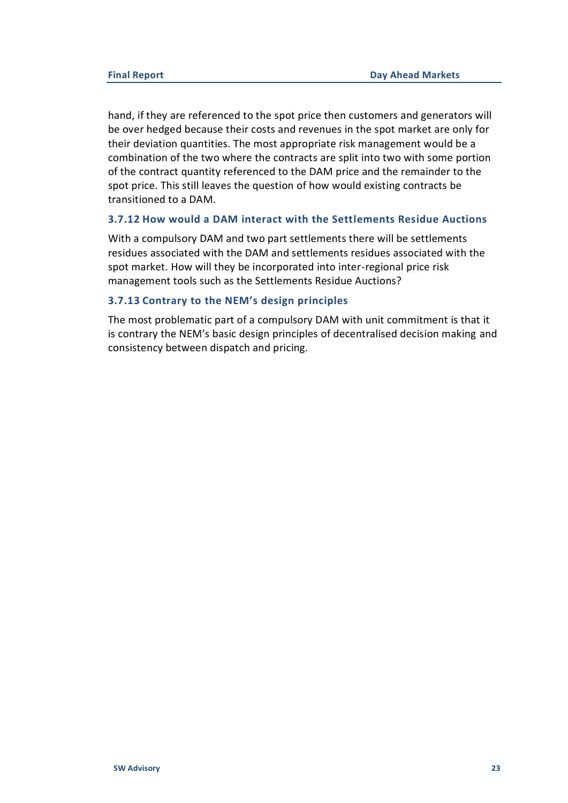hand, if they are referenced to the spot price then customers and generators will be over hedged because their costs and revenues in the spot market are only for their deviation quantities. The most appropriate risk management would be a combination of the two where the contracts are split into two with some portion of the contract quantity referenced to the DAM price and the remainder to the spot price. This still leaves the question of how would existing contracts be transitioned to a DAM.

#### **3.7.12 How would a DAM interact with the Settlements Residue Auctions**

With a compulsory DAM and two part settlements there will be settlements residues associated with the DAM and settlements residues associated with the spot market. How will they be incorporated into inter-regional price risk management tools such as the Settlements Residue Auctions?

#### **3.7.13 Contrary to the NEM's design principles**

The most problematic part of a compulsory DAM with unit commitment is that it is contrary the NEM's basic design principles of decentralised decision making and consistency between dispatch and pricing.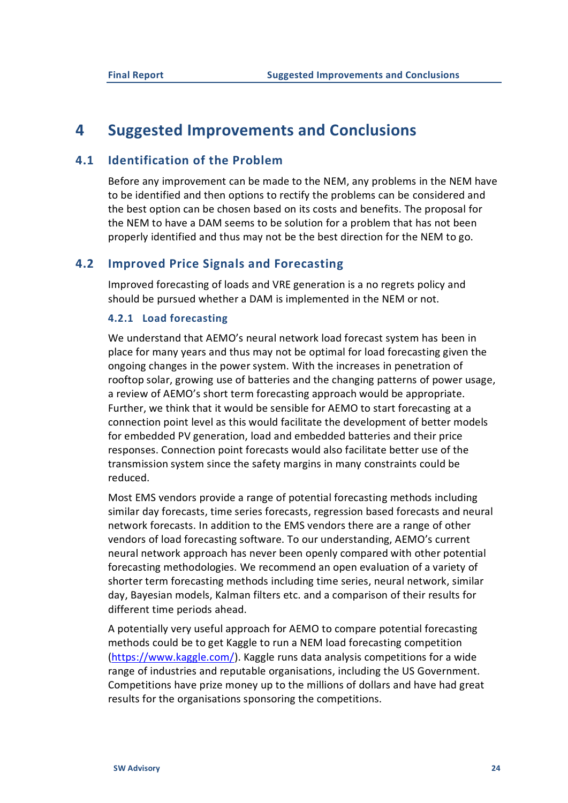## <span id="page-24-0"></span>**4 Suggested Improvements and Conclusions**

## **4.1 Identification of the Problem**

<span id="page-24-1"></span>Before any improvement can be made to the NEM, any problems in the NEM have to be identified and then options to rectify the problems can be considered and the best option can be chosen based on its costs and benefits. The proposal for the NEM to have a DAM seems to be solution for a problem that has not been properly identified and thus may not be the best direction for the NEM to go.

### **4.2 Improved Price Signals and Forecasting**

<span id="page-24-2"></span>Improved forecasting of loads and VRE generation is a no regrets policy and should be pursued whether a DAM is implemented in the NEM or not.

#### **4.2.1 Load forecasting**

We understand that AEMO's neural network load forecast system has been in place for many years and thus may not be optimal for load forecasting given the ongoing changes in the power system. With the increases in penetration of rooftop solar, growing use of batteries and the changing patterns of power usage, a review of AEMO's short term forecasting approach would be appropriate. Further, we think that it would be sensible for AEMO to start forecasting at a connection point level as this would facilitate the development of better models for embedded PV generation, load and embedded batteries and their price responses. Connection point forecasts would also facilitate better use of the transmission system since the safety margins in many constraints could be reduced.

Most EMS vendors provide a range of potential forecasting methods including similar day forecasts, time series forecasts, regression based forecasts and neural network forecasts. In addition to the EMS vendors there are a range of other vendors of load forecasting software. To our understanding, AEMO's current neural network approach has never been openly compared with other potential forecasting methodologies. We recommend an open evaluation of a variety of shorter term forecasting methods including time series, neural network, similar day, Bayesian models, Kalman filters etc. and a comparison of their results for different time periods ahead.

A potentially very useful approach for AEMO to compare potential forecasting methods could be to get Kaggle to run a NEM load forecasting competition [\(https://www.kaggle.com/\)](https://www.kaggle.com/). Kaggle runs data analysis competitions for a wide range of industries and reputable organisations, including the US Government. Competitions have prize money up to the millions of dollars and have had great results for the organisations sponsoring the competitions.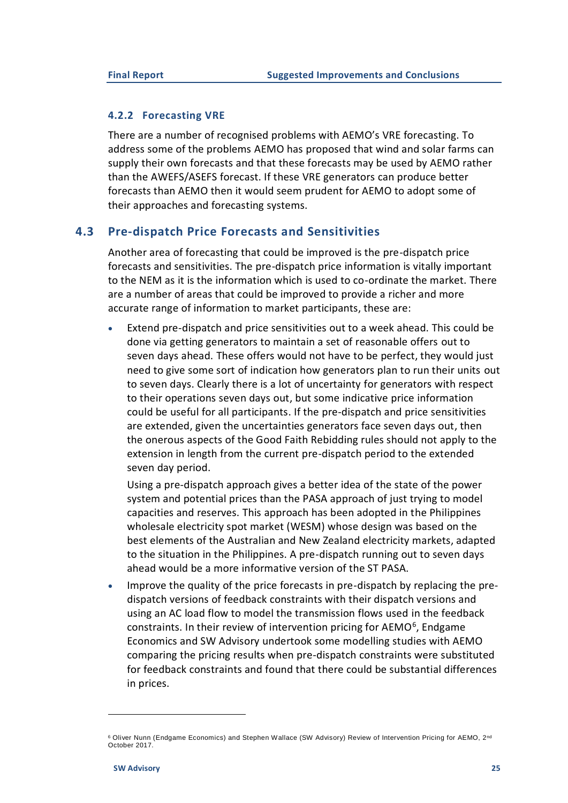#### **4.2.2 Forecasting VRE**

There are a number of recognised problems with AEMO's VRE forecasting. To address some of the problems AEMO has proposed that wind and solar farms can supply their own forecasts and that these forecasts may be used by AEMO rather than the AWEFS/ASEFS forecast. If these VRE generators can produce better forecasts than AEMO then it would seem prudent for AEMO to adopt some of their approaches and forecasting systems.

### **4.3 Pre-dispatch Price Forecasts and Sensitivities**

<span id="page-25-0"></span>Another area of forecasting that could be improved is the pre-dispatch price forecasts and sensitivities. The pre-dispatch price information is vitally important to the NEM as it is the information which is used to co-ordinate the market. There are a number of areas that could be improved to provide a richer and more accurate range of information to market participants, these are:

• Extend pre-dispatch and price sensitivities out to a week ahead. This could be done via getting generators to maintain a set of reasonable offers out to seven days ahead. These offers would not have to be perfect, they would just need to give some sort of indication how generators plan to run their units out to seven days. Clearly there is a lot of uncertainty for generators with respect to their operations seven days out, but some indicative price information could be useful for all participants. If the pre-dispatch and price sensitivities are extended, given the uncertainties generators face seven days out, then the onerous aspects of the Good Faith Rebidding rules should not apply to the extension in length from the current pre-dispatch period to the extended seven day period.

Using a pre-dispatch approach gives a better idea of the state of the power system and potential prices than the PASA approach of just trying to model capacities and reserves. This approach has been adopted in the Philippines wholesale electricity spot market (WESM) whose design was based on the best elements of the Australian and New Zealand electricity markets, adapted to the situation in the Philippines. A pre-dispatch running out to seven days ahead would be a more informative version of the ST PASA.

• Improve the quality of the price forecasts in pre-dispatch by replacing the predispatch versions of feedback constraints with their dispatch versions and using an AC load flow to model the transmission flows used in the feedback constraints. In their review of intervention pricing for AEMO<sup>6</sup>, Endgame Economics and SW Advisory undertook some modelling studies with AEMO comparing the pricing results when pre-dispatch constraints were substituted for feedback constraints and found that there could be substantial differences in prices.

<sup>&</sup>lt;sup>6</sup> Oliver Nunn (Endgame Economics) and Stephen Wallace (SW Advisory) Review of Intervention Pricing for AEMO, 2<sup>nd</sup> October 2017.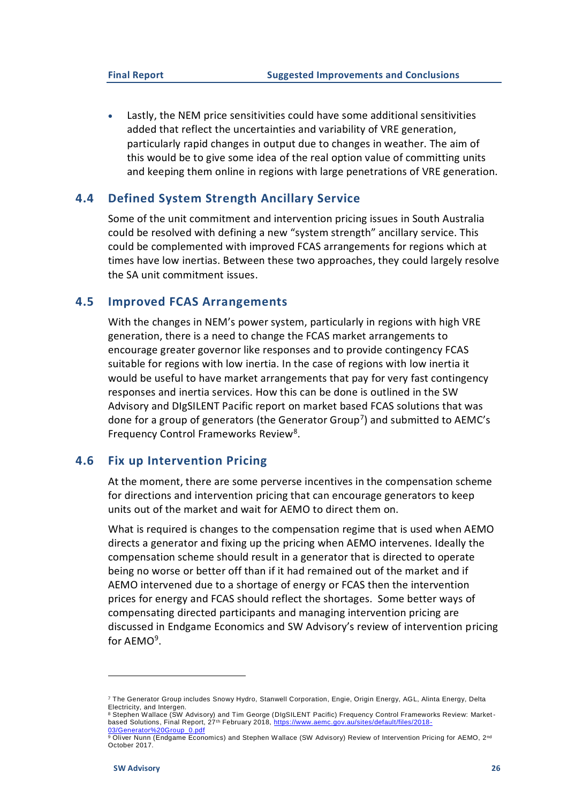• Lastly, the NEM price sensitivities could have some additional sensitivities added that reflect the uncertainties and variability of VRE generation, particularly rapid changes in output due to changes in weather. The aim of this would be to give some idea of the real option value of committing units and keeping them online in regions with large penetrations of VRE generation.

### <span id="page-26-0"></span>**4.4 Defined System Strength Ancillary Service**

Some of the unit commitment and intervention pricing issues in South Australia could be resolved with defining a new "system strength" ancillary service. This could be complemented with improved FCAS arrangements for regions which at times have low inertias. Between these two approaches, they could largely resolve the SA unit commitment issues.

### **4.5 Improved FCAS Arrangements**

<span id="page-26-1"></span>With the changes in NEM's power system, particularly in regions with high VRE generation, there is a need to change the FCAS market arrangements to encourage greater governor like responses and to provide contingency FCAS suitable for regions with low inertia. In the case of regions with low inertia it would be useful to have market arrangements that pay for very fast contingency responses and inertia services. How this can be done is outlined in the SW Advisory and DIgSILENT Pacific report on market based FCAS solutions that was done for a group of generators (the Generator Group<sup>7</sup>) and submitted to AEMC's Frequency Control Frameworks Review<sup>8</sup>.

#### **4.6 Fix up Intervention Pricing**

<span id="page-26-2"></span>At the moment, there are some perverse incentives in the compensation scheme for directions and intervention pricing that can encourage generators to keep units out of the market and wait for AEMO to direct them on.

What is required is changes to the compensation regime that is used when AEMO directs a generator and fixing up the pricing when AEMO intervenes. Ideally the compensation scheme should result in a generator that is directed to operate being no worse or better off than if it had remained out of the market and if AEMO intervened due to a shortage of energy or FCAS then the intervention prices for energy and FCAS should reflect the shortages. Some better ways of compensating directed participants and managing intervention pricing are discussed in Endgame Economics and SW Advisory's review of intervention pricing for AEMO<sup>9</sup>.

<sup>7</sup> The Generator Group includes Snowy Hydro, Stanwell Corporation, Engie, Origin Energy, AGL, Alinta Energy, Delta Electricity, and Intergen.

<sup>8</sup> Stephen Wallace (SW Advisory) and Tim George (DIgSILENT Pacific) Frequency Control Frameworks Review: Marketbased Solutions, Final Report, 27<sup>th</sup> February 2018, [https://www.aemc.gov.au/sites/default/files/2018-](https://www.aemc.gov.au/sites/default/files/2018-03/Generator%20Group_0.pdf) [03/Generator%20Group\\_0.pdf](https://www.aemc.gov.au/sites/default/files/2018-03/Generator%20Group_0.pdf)

<sup>9</sup> Oliver Nunn (Endgame Economics) and Stephen Wallace (SW Advisory) Review of Intervention Pricing for AEMO, 2<sup>nd</sup> October 2017.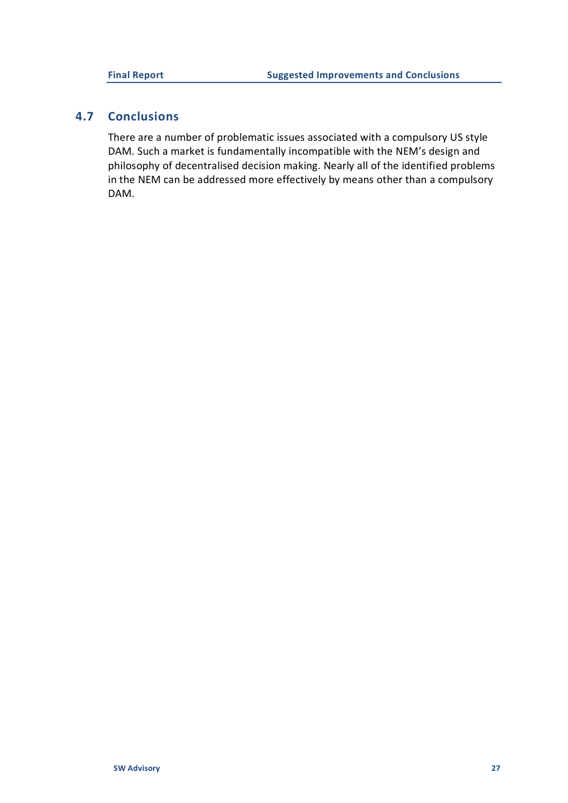## **4.7 Conclusions**

<span id="page-27-0"></span>There are a number of problematic issues associated with a compulsory US style DAM. Such a market is fundamentally incompatible with the NEM's design and philosophy of decentralised decision making. Nearly all of the identified problems in the NEM can be addressed more effectively by means other than a compulsory DAM.